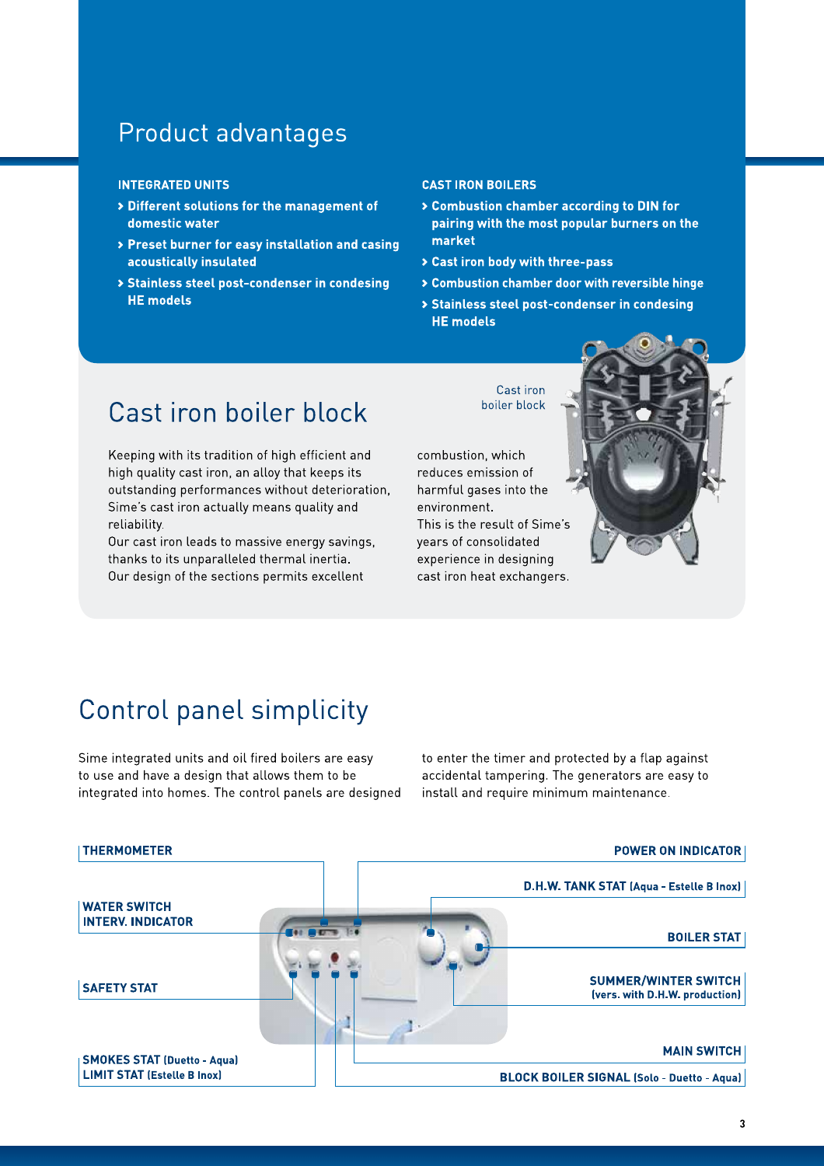# Product advantages

#### **INTEGRATED UNITS**

- > Different solutions for the management of domestic water
- > Preset burner for easy installation and casing acoustically insulated
- > Stainless steel post-condenser in condesing **HE** models

#### **CAST IRON BOILERS**

- > Combustion chamber according to DIN for pairing with the most popular burners on the market
- > Cast iron body with three-pass
- > Combustion chamber door with reversible hinge
- > Stainless steel post-condenser in condesing **HE** models

### Cast iron boiler block

Keeping with its tradition of high efficient and high quality cast iron, an alloy that keeps its outstanding performances without deterioration. Sime's cast iron actually means quality and reliability.

Our cast iron leads to massive energy savings, thanks to its unparalleled thermal inertia. Our design of the sections permits excellent

Cast iron boiler block

combustion, which reduces emission of harmful gases into the environment. This is the result of Sime's years of consolidated experience in designing cast iron heat exchangers.



# Control panel simplicity

Sime integrated units and oil fired boilers are easy to use and have a design that allows them to be integrated into homes. The control panels are designed to enter the timer and protected by a flap against accidental tampering. The generators are easy to install and require minimum maintenance.